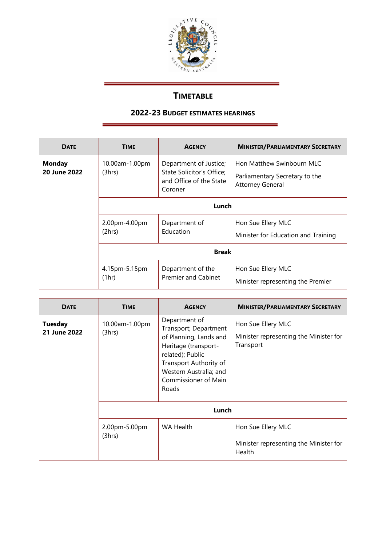

## **TIMETABLE**

## **2022-23 BUDGET ESTIMATES HEARINGS**

| <b>DATE</b>                   | <b>TIME</b>              | <b>AGENCY</b>                                                                             | <b>MINISTER/PARLIAMENTARY SECRETARY</b>                                                |  |
|-------------------------------|--------------------------|-------------------------------------------------------------------------------------------|----------------------------------------------------------------------------------------|--|
| <b>Monday</b><br>20 June 2022 | 10.00am-1.00pm<br>(3hrs) | Department of Justice;<br>State Solicitor's Office;<br>and Office of the State<br>Coroner | Hon Matthew Swinbourn MLC<br>Parliamentary Secretary to the<br><b>Attorney General</b> |  |
|                               | Lunch                    |                                                                                           |                                                                                        |  |
|                               | 2.00pm-4.00pm<br>(2hrs)  | Department of<br>Education                                                                | Hon Sue Ellery MLC<br>Minister for Education and Training                              |  |
|                               | <b>Break</b>             |                                                                                           |                                                                                        |  |
|                               | 4.15pm-5.15pm<br>(1hr)   | Department of the<br><b>Premier and Cabinet</b>                                           | Hon Sue Ellery MLC<br>Minister representing the Premier                                |  |

| <b>DATE</b>                    | <b>TIME</b>              | <b>AGENCY</b>                                                                                                                                                                                     | <b>MINISTER/PARLIAMENTARY SECRETARY</b>                                   |  |  |
|--------------------------------|--------------------------|---------------------------------------------------------------------------------------------------------------------------------------------------------------------------------------------------|---------------------------------------------------------------------------|--|--|
| <b>Tuesday</b><br>21 June 2022 | 10.00am-1.00pm<br>(3hrs) | Department of<br>Transport; Department<br>of Planning, Lands and<br>Heritage (transport-<br>related); Public<br>Transport Authority of<br>Western Australia; and<br>Commissioner of Main<br>Roads | Hon Sue Ellery MLC<br>Minister representing the Minister for<br>Transport |  |  |
|                                | Lunch                    |                                                                                                                                                                                                   |                                                                           |  |  |
|                                | 2.00pm-5.00pm<br>(3hrs)  | <b>WA Health</b>                                                                                                                                                                                  | Hon Sue Ellery MLC<br>Minister representing the Minister for<br>Health    |  |  |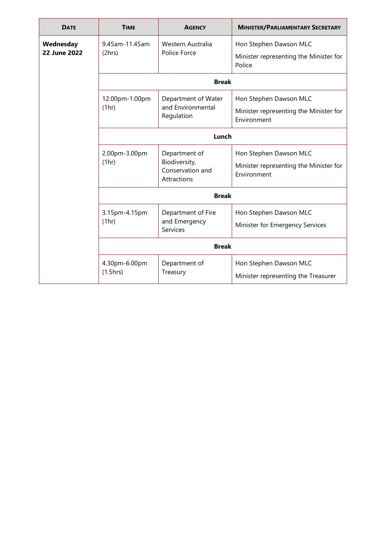| <b>DATE</b>                      | <b>TIME</b>               | <b>AGENCY</b>                                                     | <b>MINISTER/PARLIAMENTARY SECRETARY</b>                                         |  |
|----------------------------------|---------------------------|-------------------------------------------------------------------|---------------------------------------------------------------------------------|--|
| Wednesday<br><b>22 June 2022</b> | 9.45am-11.45am<br>(2hrs)  | Western Australia<br>Police Force                                 | Hon Stephen Dawson MLC<br>Minister representing the Minister for<br>Police      |  |
|                                  | <b>Break</b>              |                                                                   |                                                                                 |  |
|                                  | 12.00pm-1.00pm<br>(1hr)   | Department of Water<br>and Environmental<br>Regulation            | Hon Stephen Dawson MLC                                                          |  |
|                                  |                           |                                                                   | Minister representing the Minister for<br>Environment                           |  |
|                                  | Lunch                     |                                                                   |                                                                                 |  |
|                                  | 2.00pm-3.00pm<br>(1hr)    | Department of<br>Biodiversity,<br>Conservation and<br>Attractions | Hon Stephen Dawson MLC<br>Minister representing the Minister for<br>Environment |  |
|                                  | <b>Break</b>              |                                                                   |                                                                                 |  |
|                                  | 3.15pm-4.15pm<br>(1hr)    | Department of Fire<br>and Emergency<br><b>Services</b>            | Hon Stephen Dawson MLC<br>Minister for Emergency Services                       |  |
|                                  | <b>Break</b>              |                                                                   |                                                                                 |  |
|                                  | 4.30pm-6.00pm<br>(1.5hrs) | Department of<br>Treasury                                         | Hon Stephen Dawson MLC<br>Minister representing the Treasurer                   |  |